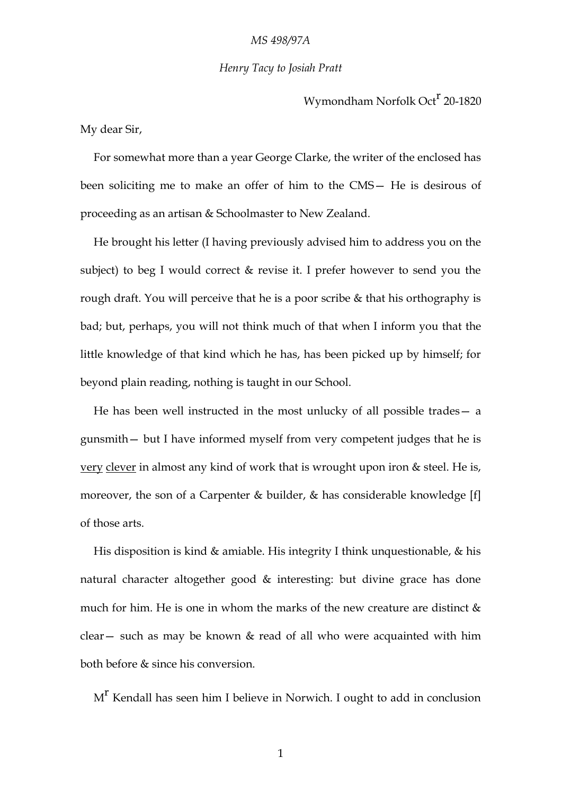## *MS 498/97A*

## *Henry Tacy to Josiah Pratt*

Wymondham Norfolk Oct<sup>r</sup> 20-1820

My dear Sir,

For somewhat more than a year George Clarke, the writer of the enclosed has been soliciting me to make an offer of him to the CMS— He is desirous of proceeding as an artisan & Schoolmaster to New Zealand.

He brought his letter (I having previously advised him to address you on the subject) to beg I would correct & revise it. I prefer however to send you the rough draft. You will perceive that he is a poor scribe & that his orthography is bad; but, perhaps, you will not think much of that when I inform you that the little knowledge of that kind which he has, has been picked up by himself; for beyond plain reading, nothing is taught in our School.

He has been well instructed in the most unlucky of all possible trades— a gunsmith— but I have informed myself from very competent judges that he is very clever in almost any kind of work that is wrought upon iron & steel. He is, moreover, the son of a Carpenter & builder, & has considerable knowledge [f] of those arts.

His disposition is kind & amiable. His integrity I think unquestionable, & his natural character altogether good & interesting: but divine grace has done much for him. He is one in whom the marks of the new creature are distinct  $\&$ clear— such as may be known & read of all who were acquainted with him both before & since his conversion.

 $M<sup>r</sup>$  Kendall has seen him I believe in Norwich. I ought to add in conclusion